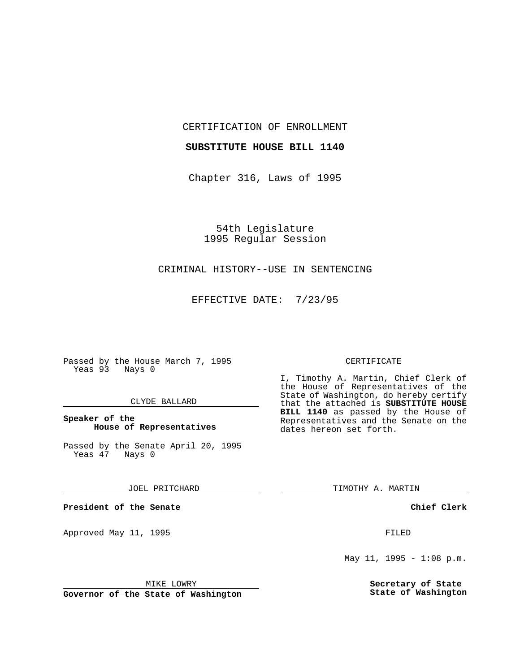CERTIFICATION OF ENROLLMENT

#### **SUBSTITUTE HOUSE BILL 1140**

Chapter 316, Laws of 1995

54th Legislature 1995 Regular Session

# CRIMINAL HISTORY--USE IN SENTENCING

EFFECTIVE DATE: 7/23/95

Passed by the House March 7, 1995 Yeas 93 Nays 0

## CLYDE BALLARD

## **Speaker of the House of Representatives**

Passed by the Senate April 20, 1995<br>Yeas 47 Nays 0 Yeas 47

JOEL PRITCHARD

**President of the Senate**

Approved May 11, 1995 FILED

#### MIKE LOWRY

**Governor of the State of Washington**

#### CERTIFICATE

I, Timothy A. Martin, Chief Clerk of the House of Representatives of the State of Washington, do hereby certify that the attached is **SUBSTITUTE HOUSE BILL 1140** as passed by the House of Representatives and the Senate on the dates hereon set forth.

TIMOTHY A. MARTIN

## **Chief Clerk**

May 11, 1995 - 1:08 p.m.

**Secretary of State State of Washington**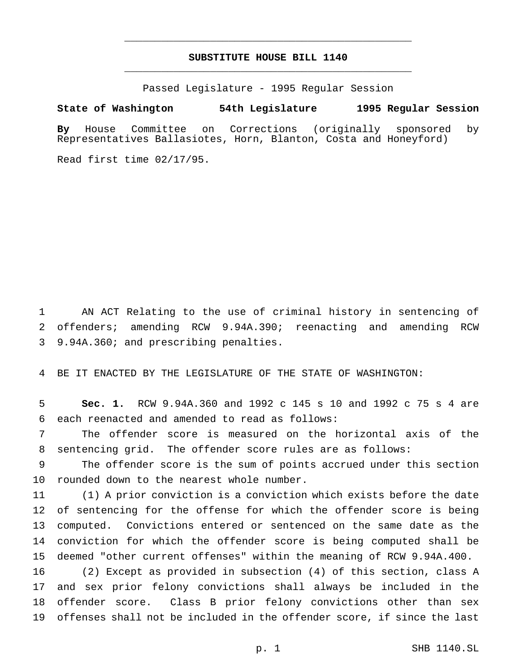# **SUBSTITUTE HOUSE BILL 1140** \_\_\_\_\_\_\_\_\_\_\_\_\_\_\_\_\_\_\_\_\_\_\_\_\_\_\_\_\_\_\_\_\_\_\_\_\_\_\_\_\_\_\_\_\_\_\_

\_\_\_\_\_\_\_\_\_\_\_\_\_\_\_\_\_\_\_\_\_\_\_\_\_\_\_\_\_\_\_\_\_\_\_\_\_\_\_\_\_\_\_\_\_\_\_

Passed Legislature - 1995 Regular Session

## **State of Washington 54th Legislature 1995 Regular Session**

**By** House Committee on Corrections (originally sponsored by Representatives Ballasiotes, Horn, Blanton, Costa and Honeyford)

Read first time 02/17/95.

 AN ACT Relating to the use of criminal history in sentencing of offenders; amending RCW 9.94A.390; reenacting and amending RCW 9.94A.360; and prescribing penalties.

BE IT ENACTED BY THE LEGISLATURE OF THE STATE OF WASHINGTON:

 **Sec. 1.** RCW 9.94A.360 and 1992 c 145 s 10 and 1992 c 75 s 4 are each reenacted and amended to read as follows:

 The offender score is measured on the horizontal axis of the sentencing grid. The offender score rules are as follows:

 The offender score is the sum of points accrued under this section rounded down to the nearest whole number.

 (1) A prior conviction is a conviction which exists before the date of sentencing for the offense for which the offender score is being computed. Convictions entered or sentenced on the same date as the conviction for which the offender score is being computed shall be deemed "other current offenses" within the meaning of RCW 9.94A.400.

 (2) Except as provided in subsection (4) of this section, class A and sex prior felony convictions shall always be included in the offender score. Class B prior felony convictions other than sex offenses shall not be included in the offender score, if since the last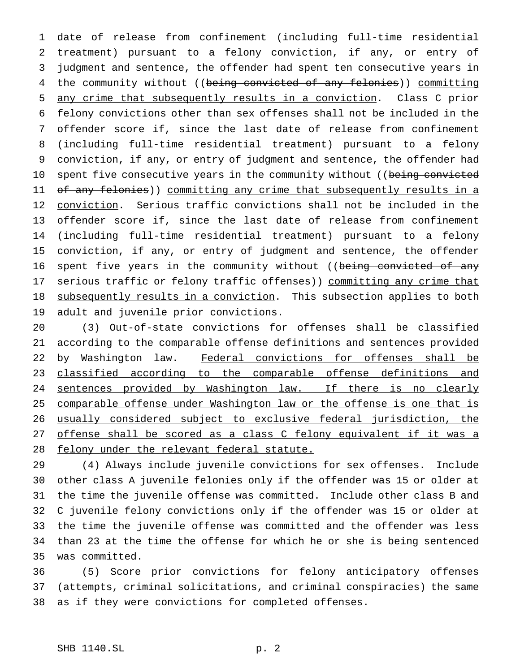date of release from confinement (including full-time residential treatment) pursuant to a felony conviction, if any, or entry of judgment and sentence, the offender had spent ten consecutive years in 4 the community without ((being convicted of any felonies)) committing any crime that subsequently results in a conviction. Class C prior felony convictions other than sex offenses shall not be included in the offender score if, since the last date of release from confinement (including full-time residential treatment) pursuant to a felony conviction, if any, or entry of judgment and sentence, the offender had 10 spent five consecutive years in the community without ((being convicted 11 of any felonies)) committing any crime that subsequently results in a 12 conviction. Serious traffic convictions shall not be included in the offender score if, since the last date of release from confinement (including full-time residential treatment) pursuant to a felony conviction, if any, or entry of judgment and sentence, the offender 16 spent five years in the community without ((being convicted of any 17 serious traffic or felony traffic offenses)) committing any crime that 18 subsequently results in a conviction. This subsection applies to both adult and juvenile prior convictions.

 (3) Out-of-state convictions for offenses shall be classified according to the comparable offense definitions and sentences provided 22 by Washington law. Federal convictions for offenses shall be 23 classified according to the comparable offense definitions and 24 sentences provided by Washington law. If there is no clearly comparable offense under Washington law or the offense is one that is usually considered subject to exclusive federal jurisdiction, the 27 offense shall be scored as a class C felony equivalent if it was a felony under the relevant federal statute.

 (4) Always include juvenile convictions for sex offenses. Include other class A juvenile felonies only if the offender was 15 or older at the time the juvenile offense was committed. Include other class B and C juvenile felony convictions only if the offender was 15 or older at the time the juvenile offense was committed and the offender was less than 23 at the time the offense for which he or she is being sentenced was committed.

 (5) Score prior convictions for felony anticipatory offenses (attempts, criminal solicitations, and criminal conspiracies) the same as if they were convictions for completed offenses.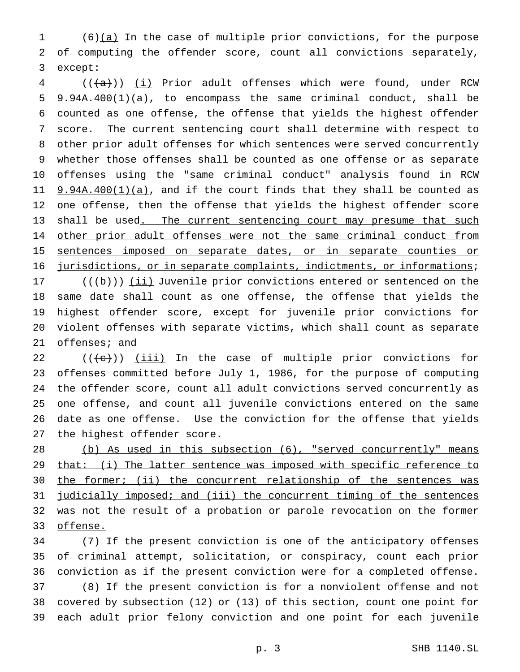(6)(a) In the case of multiple prior convictions, for the purpose of computing the offender score, count all convictions separately, except:

 (( $\frac{1}{1}$ ) (i) Prior adult offenses which were found, under RCW 9.94A.400(1)(a), to encompass the same criminal conduct, shall be counted as one offense, the offense that yields the highest offender score. The current sentencing court shall determine with respect to other prior adult offenses for which sentences were served concurrently whether those offenses shall be counted as one offense or as separate 10 offenses using the "same criminal conduct" analysis found in RCW  $9.94A.400(1)(a)$ , and if the court finds that they shall be counted as one offense, then the offense that yields the highest offender score 13 shall be used. The current sentencing court may presume that such 14 other prior adult offenses were not the same criminal conduct from sentences imposed on separate dates, or in separate counties or 16 jurisdictions, or in separate complaints, indictments, or informations;

 $((\{b\}))(ii)$  Juvenile prior convictions entered or sentenced on the same date shall count as one offense, the offense that yields the highest offender score, except for juvenile prior convictions for violent offenses with separate victims, which shall count as separate offenses; and

 $((+e))$   $(iii)$  In the case of multiple prior convictions for offenses committed before July 1, 1986, for the purpose of computing the offender score, count all adult convictions served concurrently as one offense, and count all juvenile convictions entered on the same date as one offense. Use the conviction for the offense that yields the highest offender score.

 (b) As used in this subsection (6), "served concurrently" means 29 that: (i) The latter sentence was imposed with specific reference to 30 the former; (ii) the concurrent relationship of the sentences was 31 judicially imposed; and (iii) the concurrent timing of the sentences 32 was not the result of a probation or parole revocation on the former offense.

 (7) If the present conviction is one of the anticipatory offenses of criminal attempt, solicitation, or conspiracy, count each prior conviction as if the present conviction were for a completed offense. (8) If the present conviction is for a nonviolent offense and not covered by subsection (12) or (13) of this section, count one point for each adult prior felony conviction and one point for each juvenile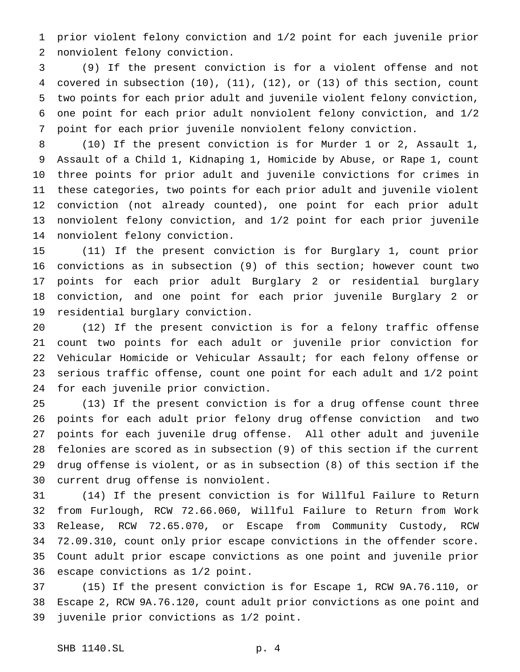prior violent felony conviction and 1/2 point for each juvenile prior nonviolent felony conviction.

 (9) If the present conviction is for a violent offense and not covered in subsection (10), (11), (12), or (13) of this section, count two points for each prior adult and juvenile violent felony conviction, one point for each prior adult nonviolent felony conviction, and 1/2 point for each prior juvenile nonviolent felony conviction.

 (10) If the present conviction is for Murder 1 or 2, Assault 1, Assault of a Child 1, Kidnaping 1, Homicide by Abuse, or Rape 1, count three points for prior adult and juvenile convictions for crimes in these categories, two points for each prior adult and juvenile violent conviction (not already counted), one point for each prior adult nonviolent felony conviction, and 1/2 point for each prior juvenile nonviolent felony conviction.

 (11) If the present conviction is for Burglary 1, count prior convictions as in subsection (9) of this section; however count two points for each prior adult Burglary 2 or residential burglary conviction, and one point for each prior juvenile Burglary 2 or residential burglary conviction.

 (12) If the present conviction is for a felony traffic offense count two points for each adult or juvenile prior conviction for Vehicular Homicide or Vehicular Assault; for each felony offense or serious traffic offense, count one point for each adult and 1/2 point for each juvenile prior conviction.

 (13) If the present conviction is for a drug offense count three points for each adult prior felony drug offense conviction and two points for each juvenile drug offense. All other adult and juvenile felonies are scored as in subsection (9) of this section if the current drug offense is violent, or as in subsection (8) of this section if the current drug offense is nonviolent.

 (14) If the present conviction is for Willful Failure to Return from Furlough, RCW 72.66.060, Willful Failure to Return from Work Release, RCW 72.65.070, or Escape from Community Custody, RCW 72.09.310, count only prior escape convictions in the offender score. Count adult prior escape convictions as one point and juvenile prior escape convictions as 1/2 point.

 (15) If the present conviction is for Escape 1, RCW 9A.76.110, or Escape 2, RCW 9A.76.120, count adult prior convictions as one point and juvenile prior convictions as 1/2 point.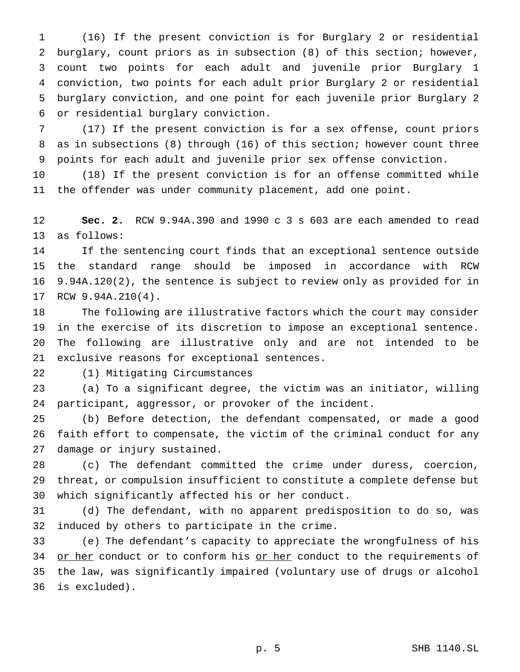(16) If the present conviction is for Burglary 2 or residential burglary, count priors as in subsection (8) of this section; however, count two points for each adult and juvenile prior Burglary 1 conviction, two points for each adult prior Burglary 2 or residential burglary conviction, and one point for each juvenile prior Burglary 2 or residential burglary conviction.

 (17) If the present conviction is for a sex offense, count priors as in subsections (8) through (16) of this section; however count three points for each adult and juvenile prior sex offense conviction.

 (18) If the present conviction is for an offense committed while the offender was under community placement, add one point.

 **Sec. 2.** RCW 9.94A.390 and 1990 c 3 s 603 are each amended to read as follows:

 If the sentencing court finds that an exceptional sentence outside the standard range should be imposed in accordance with RCW 9.94A.120(2), the sentence is subject to review only as provided for in RCW 9.94A.210(4).

 The following are illustrative factors which the court may consider in the exercise of its discretion to impose an exceptional sentence. The following are illustrative only and are not intended to be exclusive reasons for exceptional sentences.

(1) Mitigating Circumstances

 (a) To a significant degree, the victim was an initiator, willing participant, aggressor, or provoker of the incident.

 (b) Before detection, the defendant compensated, or made a good faith effort to compensate, the victim of the criminal conduct for any damage or injury sustained.

 (c) The defendant committed the crime under duress, coercion, threat, or compulsion insufficient to constitute a complete defense but which significantly affected his or her conduct.

 (d) The defendant, with no apparent predisposition to do so, was induced by others to participate in the crime.

 (e) The defendant's capacity to appreciate the wrongfulness of his 34 or her conduct or to conform his or her conduct to the requirements of the law, was significantly impaired (voluntary use of drugs or alcohol is excluded).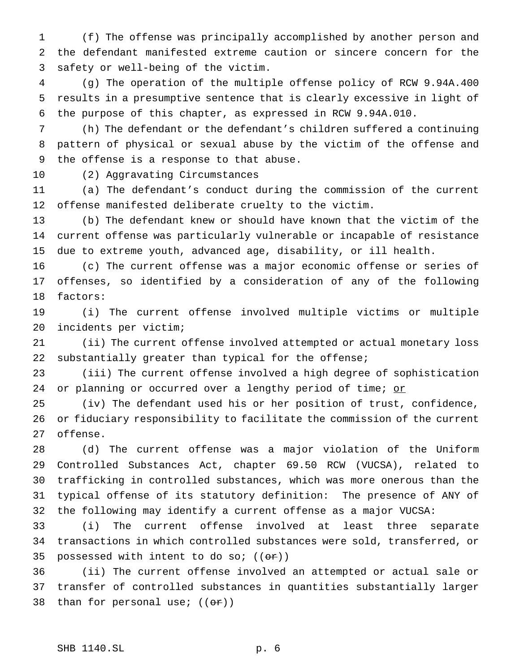(f) The offense was principally accomplished by another person and the defendant manifested extreme caution or sincere concern for the safety or well-being of the victim.

 (g) The operation of the multiple offense policy of RCW 9.94A.400 results in a presumptive sentence that is clearly excessive in light of the purpose of this chapter, as expressed in RCW 9.94A.010.

 (h) The defendant or the defendant's children suffered a continuing pattern of physical or sexual abuse by the victim of the offense and the offense is a response to that abuse.

(2) Aggravating Circumstances

 (a) The defendant's conduct during the commission of the current offense manifested deliberate cruelty to the victim.

 (b) The defendant knew or should have known that the victim of the current offense was particularly vulnerable or incapable of resistance due to extreme youth, advanced age, disability, or ill health.

 (c) The current offense was a major economic offense or series of offenses, so identified by a consideration of any of the following factors:

 (i) The current offense involved multiple victims or multiple incidents per victim;

 (ii) The current offense involved attempted or actual monetary loss substantially greater than typical for the offense;

 (iii) The current offense involved a high degree of sophistication 24 or planning or occurred over a lengthy period of time; or

 (iv) The defendant used his or her position of trust, confidence, or fiduciary responsibility to facilitate the commission of the current offense.

 (d) The current offense was a major violation of the Uniform Controlled Substances Act, chapter 69.50 RCW (VUCSA), related to trafficking in controlled substances, which was more onerous than the typical offense of its statutory definition: The presence of ANY of the following may identify a current offense as a major VUCSA:

 (i) The current offense involved at least three separate transactions in which controlled substances were sold, transferred, or 35 possessed with intent to do so;  $((\theta \cdot \hat{r}))$ 

 (ii) The current offense involved an attempted or actual sale or transfer of controlled substances in quantities substantially larger 38 than for personal use;  $((\theta \cdot \hat{r}))$